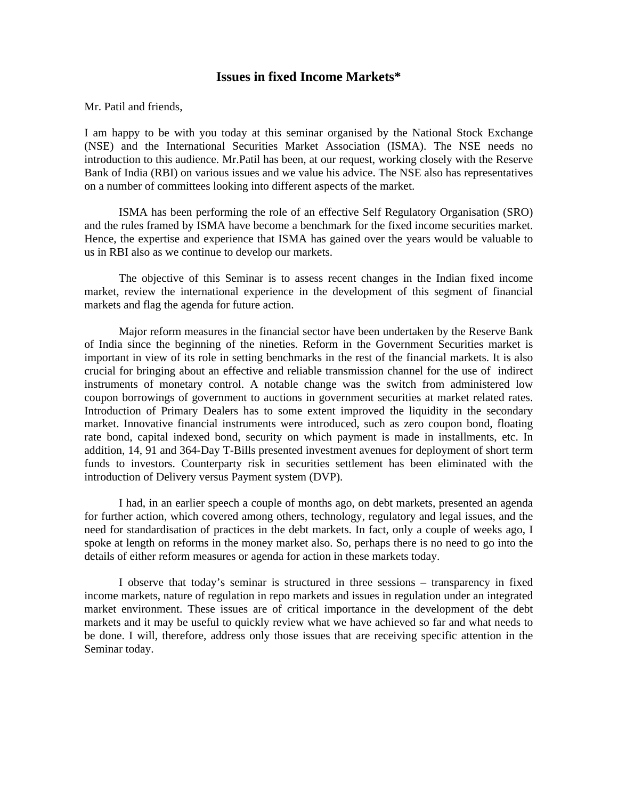# **Issues in fixed Income Markets\***

Mr. Patil and friends,

I am happy to be with you today at this seminar organised by the National Stock Exchange (NSE) and the International Securities Market Association (ISMA). The NSE needs no introduction to this audience. Mr.Patil has been, at our request, working closely with the Reserve Bank of India (RBI) on various issues and we value his advice. The NSE also has representatives on a number of committees looking into different aspects of the market.

ISMA has been performing the role of an effective Self Regulatory Organisation (SRO) and the rules framed by ISMA have become a benchmark for the fixed income securities market. Hence, the expertise and experience that ISMA has gained over the years would be valuable to us in RBI also as we continue to develop our markets.

The objective of this Seminar is to assess recent changes in the Indian fixed income market, review the international experience in the development of this segment of financial markets and flag the agenda for future action.

Major reform measures in the financial sector have been undertaken by the Reserve Bank of India since the beginning of the nineties. Reform in the Government Securities market is important in view of its role in setting benchmarks in the rest of the financial markets. It is also crucial for bringing about an effective and reliable transmission channel for the use of indirect instruments of monetary control. A notable change was the switch from administered low coupon borrowings of government to auctions in government securities at market related rates. Introduction of Primary Dealers has to some extent improved the liquidity in the secondary market. Innovative financial instruments were introduced, such as zero coupon bond, floating rate bond, capital indexed bond, security on which payment is made in installments, etc. In addition, 14, 91 and 364-Day T-Bills presented investment avenues for deployment of short term funds to investors. Counterparty risk in securities settlement has been eliminated with the introduction of Delivery versus Payment system (DVP).

I had, in an earlier speech a couple of months ago, on debt markets, presented an agenda for further action, which covered among others, technology, regulatory and legal issues, and the need for standardisation of practices in the debt markets. In fact, only a couple of weeks ago, I spoke at length on reforms in the money market also. So, perhaps there is no need to go into the details of either reform measures or agenda for action in these markets today.

I observe that today's seminar is structured in three sessions – transparency in fixed income markets, nature of regulation in repo markets and issues in regulation under an integrated market environment. These issues are of critical importance in the development of the debt markets and it may be useful to quickly review what we have achieved so far and what needs to be done. I will, therefore, address only those issues that are receiving specific attention in the Seminar today.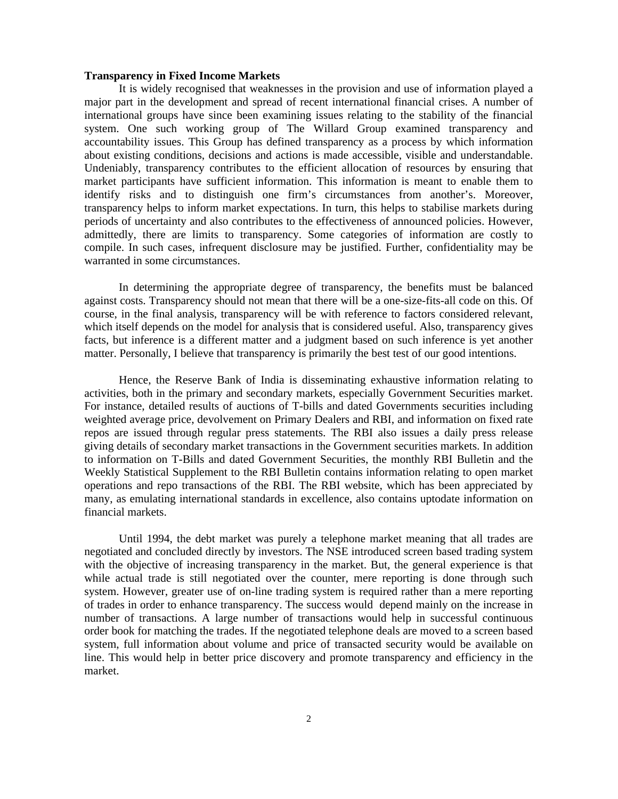### **Transparency in Fixed Income Markets**

It is widely recognised that weaknesses in the provision and use of information played a major part in the development and spread of recent international financial crises. A number of international groups have since been examining issues relating to the stability of the financial system. One such working group of The Willard Group examined transparency and accountability issues. This Group has defined transparency as a process by which information about existing conditions, decisions and actions is made accessible, visible and understandable. Undeniably, transparency contributes to the efficient allocation of resources by ensuring that market participants have sufficient information. This information is meant to enable them to identify risks and to distinguish one firm's circumstances from another's. Moreover, transparency helps to inform market expectations. In turn, this helps to stabilise markets during periods of uncertainty and also contributes to the effectiveness of announced policies. However, admittedly, there are limits to transparency. Some categories of information are costly to compile. In such cases, infrequent disclosure may be justified. Further, confidentiality may be warranted in some circumstances.

In determining the appropriate degree of transparency, the benefits must be balanced against costs. Transparency should not mean that there will be a one-size-fits-all code on this. Of course, in the final analysis, transparency will be with reference to factors considered relevant, which itself depends on the model for analysis that is considered useful. Also, transparency gives facts, but inference is a different matter and a judgment based on such inference is yet another matter. Personally, I believe that transparency is primarily the best test of our good intentions.

Hence, the Reserve Bank of India is disseminating exhaustive information relating to activities, both in the primary and secondary markets, especially Government Securities market. For instance, detailed results of auctions of T-bills and dated Governments securities including weighted average price, devolvement on Primary Dealers and RBI, and information on fixed rate repos are issued through regular press statements. The RBI also issues a daily press release giving details of secondary market transactions in the Government securities markets. In addition to information on T-Bills and dated Government Securities, the monthly RBI Bulletin and the Weekly Statistical Supplement to the RBI Bulletin contains information relating to open market operations and repo transactions of the RBI. The RBI website, which has been appreciated by many, as emulating international standards in excellence, also contains uptodate information on financial markets.

Until 1994, the debt market was purely a telephone market meaning that all trades are negotiated and concluded directly by investors. The NSE introduced screen based trading system with the objective of increasing transparency in the market. But, the general experience is that while actual trade is still negotiated over the counter, mere reporting is done through such system. However, greater use of on-line trading system is required rather than a mere reporting of trades in order to enhance transparency. The success would depend mainly on the increase in number of transactions. A large number of transactions would help in successful continuous order book for matching the trades. If the negotiated telephone deals are moved to a screen based system, full information about volume and price of transacted security would be available on line. This would help in better price discovery and promote transparency and efficiency in the market.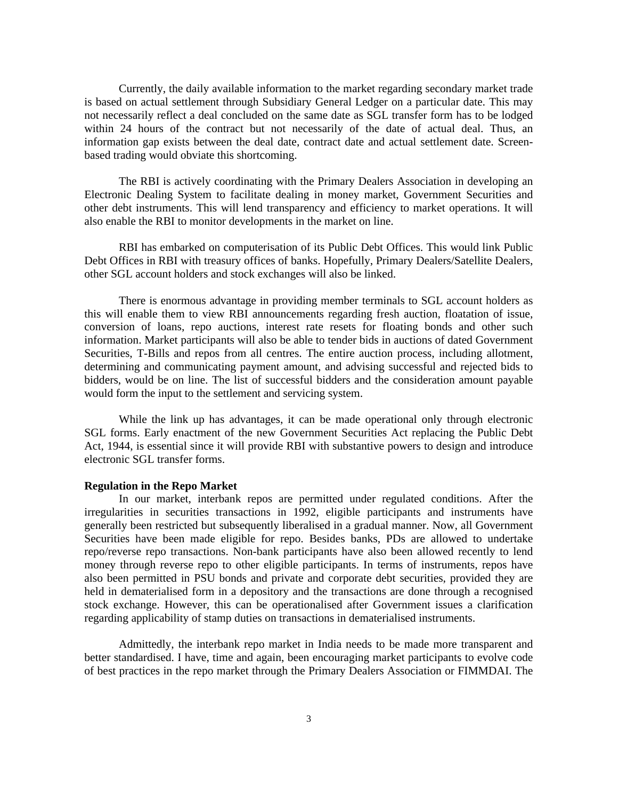Currently, the daily available information to the market regarding secondary market trade is based on actual settlement through Subsidiary General Ledger on a particular date. This may not necessarily reflect a deal concluded on the same date as SGL transfer form has to be lodged within 24 hours of the contract but not necessarily of the date of actual deal. Thus, an information gap exists between the deal date, contract date and actual settlement date. Screenbased trading would obviate this shortcoming.

The RBI is actively coordinating with the Primary Dealers Association in developing an Electronic Dealing System to facilitate dealing in money market, Government Securities and other debt instruments. This will lend transparency and efficiency to market operations. It will also enable the RBI to monitor developments in the market on line.

RBI has embarked on computerisation of its Public Debt Offices. This would link Public Debt Offices in RBI with treasury offices of banks. Hopefully, Primary Dealers/Satellite Dealers, other SGL account holders and stock exchanges will also be linked.

There is enormous advantage in providing member terminals to SGL account holders as this will enable them to view RBI announcements regarding fresh auction, floatation of issue, conversion of loans, repo auctions, interest rate resets for floating bonds and other such information. Market participants will also be able to tender bids in auctions of dated Government Securities, T-Bills and repos from all centres. The entire auction process, including allotment, determining and communicating payment amount, and advising successful and rejected bids to bidders, would be on line. The list of successful bidders and the consideration amount payable would form the input to the settlement and servicing system.

While the link up has advantages, it can be made operational only through electronic SGL forms. Early enactment of the new Government Securities Act replacing the Public Debt Act, 1944, is essential since it will provide RBI with substantive powers to design and introduce electronic SGL transfer forms.

#### **Regulation in the Repo Market**

In our market, interbank repos are permitted under regulated conditions. After the irregularities in securities transactions in 1992, eligible participants and instruments have generally been restricted but subsequently liberalised in a gradual manner. Now, all Government Securities have been made eligible for repo. Besides banks, PDs are allowed to undertake repo/reverse repo transactions. Non-bank participants have also been allowed recently to lend money through reverse repo to other eligible participants. In terms of instruments, repos have also been permitted in PSU bonds and private and corporate debt securities, provided they are held in dematerialised form in a depository and the transactions are done through a recognised stock exchange. However, this can be operationalised after Government issues a clarification regarding applicability of stamp duties on transactions in dematerialised instruments.

Admittedly, the interbank repo market in India needs to be made more transparent and better standardised. I have, time and again, been encouraging market participants to evolve code of best practices in the repo market through the Primary Dealers Association or FIMMDAI. The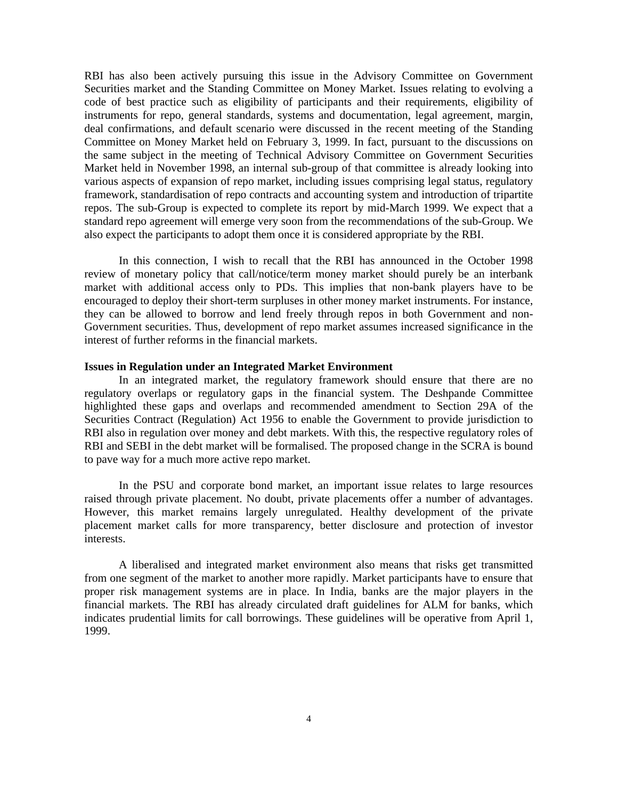RBI has also been actively pursuing this issue in the Advisory Committee on Government Securities market and the Standing Committee on Money Market. Issues relating to evolving a code of best practice such as eligibility of participants and their requirements, eligibility of instruments for repo, general standards, systems and documentation, legal agreement, margin, deal confirmations, and default scenario were discussed in the recent meeting of the Standing Committee on Money Market held on February 3, 1999. In fact, pursuant to the discussions on the same subject in the meeting of Technical Advisory Committee on Government Securities Market held in November 1998, an internal sub-group of that committee is already looking into various aspects of expansion of repo market, including issues comprising legal status, regulatory framework, standardisation of repo contracts and accounting system and introduction of tripartite repos. The sub-Group is expected to complete its report by mid-March 1999. We expect that a standard repo agreement will emerge very soon from the recommendations of the sub-Group. We also expect the participants to adopt them once it is considered appropriate by the RBI.

In this connection, I wish to recall that the RBI has announced in the October 1998 review of monetary policy that call/notice/term money market should purely be an interbank market with additional access only to PDs. This implies that non-bank players have to be encouraged to deploy their short-term surpluses in other money market instruments. For instance, they can be allowed to borrow and lend freely through repos in both Government and non-Government securities. Thus, development of repo market assumes increased significance in the interest of further reforms in the financial markets.

### **Issues in Regulation under an Integrated Market Environment**

In an integrated market, the regulatory framework should ensure that there are no regulatory overlaps or regulatory gaps in the financial system. The Deshpande Committee highlighted these gaps and overlaps and recommended amendment to Section 29A of the Securities Contract (Regulation) Act 1956 to enable the Government to provide jurisdiction to RBI also in regulation over money and debt markets. With this, the respective regulatory roles of RBI and SEBI in the debt market will be formalised. The proposed change in the SCRA is bound to pave way for a much more active repo market.

In the PSU and corporate bond market, an important issue relates to large resources raised through private placement. No doubt, private placements offer a number of advantages. However, this market remains largely unregulated. Healthy development of the private placement market calls for more transparency, better disclosure and protection of investor interests.

A liberalised and integrated market environment also means that risks get transmitted from one segment of the market to another more rapidly. Market participants have to ensure that proper risk management systems are in place. In India, banks are the major players in the financial markets. The RBI has already circulated draft guidelines for ALM for banks, which indicates prudential limits for call borrowings. These guidelines will be operative from April 1, 1999.